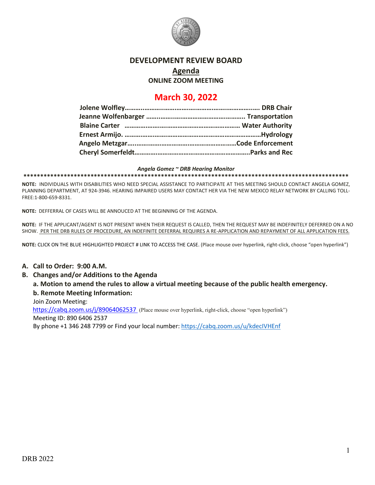

### **DEVELOPMENT REVIEW BOARD**

**Agenda**

**ONLINE ZOOM MEETING**

# **March 30, 2022**

#### *Angela Gomez ~ DRB Hearing Monitor*

**\*\*\*\*\*\*\*\*\*\*\*\*\*\*\*\*\*\*\*\*\*\*\*\*\*\*\*\*\*\*\*\*\*\*\*\*\*\*\*\*\*\*\*\*\*\*\*\*\*\*\*\*\*\*\*\*\*\*\*\*\*\*\*\*\*\*\*\*\*\*\*\*\*\*\*\*\*\*\*\*\*\*\*\*\*\*\*\*\*\*\*\*\*\*\*\*\***

**NOTE:** INDIVIDUALS WITH DISABILITIES WHO NEED SPECIAL ASSISTANCE TO PARTICIPATE AT THIS MEETING SHOULD CONTACT ANGELA GOMEZ, PLANNING DEPARTMENT, AT 924-3946. HEARING IMPAIRED USERS MAY CONTACT HER VIA THE NEW MEXICO RELAY NETWORK BY CALLING TOLL-FREE:1-800-659-8331.

**NOTE:** DEFFERRAL OF CASES WILL BE ANNOUCED AT THE BEGINNING OF THE AGENDA.

**NOTE:** IF THE APPLICANT/AGENT IS NOT PRESENT WHEN THEIR REQUEST IS CALLED, THEN THE REQUEST MAY BE INDEFINITELY DEFERRED ON A NO SHOW. PER THE DRB RULES OF PROCEDURE, AN INDEFINITE DEFERRAL REQUIRES A RE-APPLICATION AND REPAYMENT OF ALL APPLICATION FEES.

**NOTE:** CLICK ON THE BLUE HIGHLIGHTED PROJECT # LINK TO ACCESS THE CASE. (Place mouse over hyperlink, right-click, choose "open hyperlink")

### **A. Call to Order: 9:00 A.M.**

### **B. Changes and/or Additions to the Agenda**

**a. Motion to amend the rules to allow a virtual meeting because of the public health emergency. b. Remote Meeting Information:** 

Join Zoom Meeting:

https://cabq.zoom.us/j/89064062537 (Place mouse over hyperlink, right-click, choose "open hyperlink") Meeting ID: 890 6406 2537 By phone +1 346 248 7799 or Find your local number:<https://cabq.zoom.us/u/kdecIVHEnf>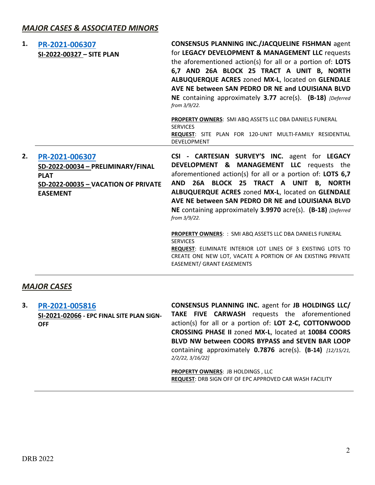| 1. | PR-2021-006307<br>SI-2022-00327 - SITE PLAN                                                                                  | <b>CONSENSUS PLANNING INC./JACQUELINE FISHMAN agent</b><br>for LEGACY DEVELOPMENT & MANAGEMENT LLC requests<br>the aforementioned action(s) for all or a portion of: LOTS<br>6,7 AND 26A BLOCK 25 TRACT A UNIT B, NORTH<br>ALBUQUERQUE ACRES zoned MX-L, located on GLENDALE<br>AVE NE between SAN PEDRO DR NE and LOUISIANA BLVD<br>NE containing approximately 3.77 acre(s). (B-18) [Deferred<br>from 3/9/22.<br><b>PROPERTY OWNERS: SMI ABQ ASSETS LLC DBA DANIELS FUNERAL</b><br><b>SERVICES</b><br><b>REQUEST:</b> SITE PLAN FOR 120-UNIT MULTI-FAMILY RESIDENTIAL<br>DEVELOPMENT                                                                     |
|----|------------------------------------------------------------------------------------------------------------------------------|------------------------------------------------------------------------------------------------------------------------------------------------------------------------------------------------------------------------------------------------------------------------------------------------------------------------------------------------------------------------------------------------------------------------------------------------------------------------------------------------------------------------------------------------------------------------------------------------------------------------------------------------------------|
| 2. | PR-2021-006307<br>SD-2022-00034 - PRELIMINARY/FINAL<br><b>PLAT</b><br>SD-2022-00035 - VACATION OF PRIVATE<br><b>EASEMENT</b> | CSI - CARTESIAN SURVEY'S INC. agent for LEGACY<br>DEVELOPMENT & MANAGEMENT LLC requests the<br>aforementioned action(s) for all or a portion of: LOTS 6,7<br>26A BLOCK 25 TRACT A UNIT B, NORTH<br><b>AND</b><br>ALBUQUERQUE ACRES zoned MX-L, located on GLENDALE<br>AVE NE between SAN PEDRO DR NE and LOUISIANA BLVD<br>NE containing approximately 3.9970 acre(s). (B-18) [Deferred]<br>from 3/9/22.<br>PROPERTY OWNERS: : SMI ABQ ASSETS LLC DBA DANIELS FUNERAL<br><b>SERVICES</b><br>REQUEST: ELIMINATE INTERIOR LOT LINES OF 3 EXISTING LOTS TO<br>CREATE ONE NEW LOT, VACATE A PORTION OF AN EXISTING PRIVATE<br><b>EASEMENT/ GRANT EASEMENTS</b> |

# *MAJOR CASES*

**3. [PR-2021-005816](http://data.cabq.gov/government/planning/DRB/PR-2021-005816/DRB%20Submittals/)  SI-2021-02066 - EPC FINAL SITE PLAN SIGN-OFF CONSENSUS PLANNING INC.** agent for **JB HOLDINGS LLC/ TAKE FIVE CARWASH** requests the aforementioned action(s) for all or a portion of: **LOT 2-C, COTTONWOOD CROSSING PHASE II** zoned **MX-L**, located at **10084 COORS BLVD NW between COORS BYPASS and SEVEN BAR LOOP**  containing approximately **0.7876** acre(s). **(B-14)** *[12/15/21, 2/2/22, 3/16/22]*

> **PROPERTY OWNERS**: JB HOLDINGS , LLC **REQUEST**: DRB SIGN OFF OF EPC APPROVED CAR WASH FACILITY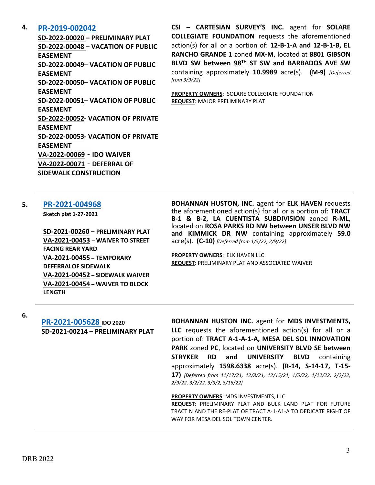### **4. [PR-2019-002042](http://data.cabq.gov/government/planning/DRB/PR-2019-002042/DRB%20Submittals/)**

**SD-2022-00020 – PRELIMINARY PLAT SD-2022-00048 – VACATION OF PUBLIC EASEMENT SD-2022-00049– VACATION OF PUBLIC EASEMENT SD-2022-00050– VACATION OF PUBLIC EASEMENT SD-2022-00051– VACATION OF PUBLIC EASEMENT SD-2022-00052- VACATION OF PRIVATE EASEMENT SD-2022-00053- VACATION OF PRIVATE EASEMENT VA-2022-00069** - **IDO WAIVER VA-2022-00071** - **DEFERRAL OF SIDEWALK CONSTRUCTION**

**CSI – CARTESIAN SURVEY'S INC.** agent for **SOLARE COLLEGIATE FOUNDATION** requests the aforementioned action(s) for all or a portion of: **12-B-1-A and 12-B-1-B, EL RANCHO GRANDE 1** zoned **MX-M**, located at **8801 GIBSON BLVD SW between 98TH ST SW and BARBADOS AVE SW**  containing approximately **10.9989** acre(s). **(M-9)** *[Deferred from 3/9/22]*

**PROPERTY OWNERS**: SOLARE COLLEGIATE FOUNDATION **REQUEST**: MAJOR PRELIMINARY PLAT

### **5. [PR-2021-004968](http://data.cabq.gov/government/planning/DRB/PR-2021-004968/DRB%20Submittals/PR-2021-004968_Mar_30_2022_Supp/)**

**Sketch plat 1-27-2021**

**SD-2021-00260 – PRELIMINARY PLAT VA-2021-00453 – WAIVER TO STREET FACING REAR YARD VA-2021-00455 – TEMPORARY DEFERRALOF SIDEWALK VA-2021-00452 – SIDEWALK WAIVER VA-2021-00454 – WAIVER TO BLOCK LENGTH**

**BOHANNAN HUSTON, INC.** agent for **ELK HAVEN** requests the aforementioned action(s) for all or a portion of: **TRACT B-1 & B-2, LA CUENTISTA SUBDIVISION** zoned **R-ML**, located on **ROSA PARKS RD NW between UNSER BLVD NW and KIMMICK DR NW** containing approximately **59.0**  acre(s). **(C-10)** *[Deferred from 1/5/22, 2/9/22]*

**PROPERTY OWNERS**: ELK HAVEN LLC **REQUEST**: PRELIMINARY PLAT AND ASSOCIATED WAIVER

**6.**

**[PR-2021-005628](http://data.cabq.gov/government/planning/DRB/PR-2021-005628/DRB%20Submittals/) IDO 2020 SD-2021-00214 – PRELIMINARY PLAT** **BOHANNAN HUSTON INC.** agent for **MDS INVESTMENTS, LLC** requests the aforementioned action(s) for all or a portion of: **TRACT A-1-A-1-A, MESA DEL SOL INNOVATION PARK** zoned **PC**, located on **UNIVERSITY BLVD SE between STRYKER RD and UNIVERSITY BLVD** containing approximately **1598.6338** acre(s). **(R-14, S-14-17, T-15- 17)** *[Deferred from 11/17/21, 12/8/21, 12/15/21, 1/5/22, 1/12/22, 2/2/22, 2/9/22, 3/2/22, 3/9/2, 3/16/22]*

#### **PROPERTY OWNERS**: MDS INVESTMENTS, LLC

**REQUEST**: PRELIMINARY PLAT AND BULK LAND PLAT FOR FUTURE TRACT N AND THE RE-PLAT OF TRACT A-1-A1-A TO DEDICATE RIGHT OF WAY FOR MESA DEL SOL TOWN CENTER.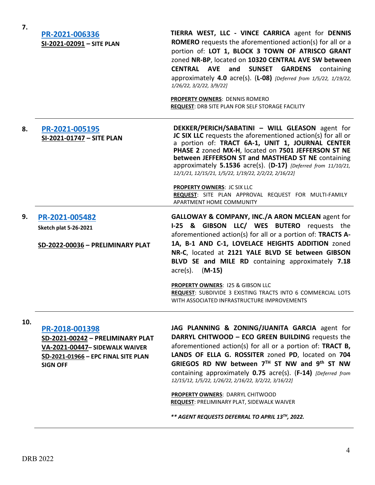| 7.  | PR-2021-006336<br>SI-2021-02091 - SITE PLAN                                                                                                    | TIERRA WEST, LLC - VINCE CARRICA agent for DENNIS<br><b>ROMERO</b> requests the aforementioned action(s) for all or a<br>portion of: LOT 1, BLOCK 3 TOWN OF ATRISCO GRANT<br>zoned NR-BP, located on 10320 CENTRAL AVE SW between<br><b>CENTRAL AVE</b><br>and<br><b>SUNSET</b><br><b>GARDENS</b> containing<br>approximately 4.0 $\arccos 1$ (L-08) [Deferred from 1/5/22, 1/19/22,<br>1/26/22, 3/2/22, 3/9/22]<br><b>PROPERTY OWNERS: DENNIS ROMERO</b><br>REQUEST: DRB SITE PLAN FOR SELF STORAGE FACILITY |
|-----|------------------------------------------------------------------------------------------------------------------------------------------------|---------------------------------------------------------------------------------------------------------------------------------------------------------------------------------------------------------------------------------------------------------------------------------------------------------------------------------------------------------------------------------------------------------------------------------------------------------------------------------------------------------------|
| 8.  | PR-2021-005195<br>SI-2021-01747 - SITE PLAN                                                                                                    | DEKKER/PERICH/SABATINI - WILL GLEASON agent for<br>JC SIX LLC requests the aforementioned action(s) for all or<br>a portion of: TRACT 6A-1, UNIT 1, JOURNAL CENTER<br>PHASE 2 zoned MX-H, located on 7501 JEFFERSON ST NE<br>between JEFFERSON ST and MASTHEAD ST NE containing<br>approximately 5.1536 acre(s). (D-17) [Deferred from 11/10/21,<br>12/1/21, 12/15/21, 1/5/22, 1/19/22, 2/2/22, 2/16/22]                                                                                                      |
|     |                                                                                                                                                | <b>PROPERTY OWNERS: JC SIX LLC</b><br>REQUEST: SITE PLAN APPROVAL REQUEST FOR MULTI-FAMILY<br>APARTMENT HOME COMMUNITY                                                                                                                                                                                                                                                                                                                                                                                        |
| 9.  | PR-2021-005482<br><b>Sketch plat 5-26-2021</b><br>SD-2022-00036 - PRELIMINARY PLAT                                                             | GALLOWAY & COMPANY, INC./A ARON MCLEAN agent for<br>I-25 & GIBSON LLC/ WES BUTERO requests the<br>aforementioned action(s) for all or a portion of: TRACTS A-<br>1A, B-1 AND C-1, LOVELACE HEIGHTS ADDITION zoned<br>NR-C, located at 2121 YALE BLVD SE between GIBSON<br>BLVD SE and MILE RD containing approximately 7.18<br>$\text{acre}(s)$ . (M-15)                                                                                                                                                      |
|     |                                                                                                                                                | PROPERTY OWNERS: 125 & GIBSON LLC<br>REQUEST: SUBDIVIDE 3 EXISTING TRACTS INTO 6 COMMERCIAL LOTS<br>WITH ASSOCIATED INFRASTRUCTURE IMPROVEMENTS                                                                                                                                                                                                                                                                                                                                                               |
| 10. | PR-2018-001398<br>SD-2021-00242 - PRELIMINARY PLAT<br>VA-2021-00447- SIDEWALK WAIVER<br>SD-2021-01966 - EPC FINAL SITE PLAN<br><b>SIGN OFF</b> | JAG PLANNING & ZONING/JUANITA GARCIA agent for<br>DARRYL CHITWOOD - ECO GREEN BUILDING requests the<br>aforementioned action(s) for all or a portion of: <b>TRACT B,</b><br>LANDS OF ELLA G. ROSSITER zoned PD, located on 704<br>GRIEGOS RD NW between 7TH ST NW and 9th ST NW<br>containing approximately 0.75 acre(s). (F-14) [Deferred from<br>12/15/12, 1/5/22, 1/26/22, 2/16/22, 3/2/22, 3/16/22]<br>PROPERTY OWNERS: DARRYL CHITWOOD<br><b>REQUEST: PRELIMINARY PLAT, SIDEWALK WAIVER</b>              |

*\*\* AGENT REQUESTS DEFERRAL TO APRIL 13TH, 2022.*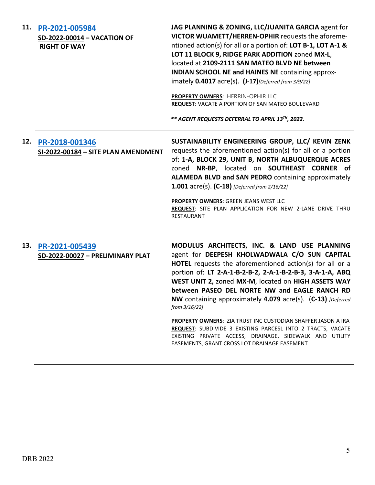| 11. | PR-2021-005984<br>SD-2022-00014 - VACATION OF<br><b>RIGHT OF WAY</b> | JAG PLANNING & ZONING, LLC/JUANITA GARCIA agent for<br>VICTOR WUAMETT/HERREN-OPHIR requests the aforeme-<br>ntioned action(s) for all or a portion of: LOT B-1, LOT A-1 &<br>LOT 11 BLOCK 9, RIDGE PARK ADDITION zoned MX-L,<br>located at 2109-2111 SAN MATEO BLVD NE between<br><b>INDIAN SCHOOL NE and HAINES NE containing approx-</b><br>imately 0.4017 acre(s). (J-17) [Deferred from 3/9/22]<br>PROPERTY OWNERS: HERRIN-OPHIR LLC<br><b>REQUEST: VACATE A PORTION OF SAN MATEO BOULEVARD</b><br>** AGENT REQUESTS DEFERRAL TO APRIL 13TH, 2022. |
|-----|----------------------------------------------------------------------|--------------------------------------------------------------------------------------------------------------------------------------------------------------------------------------------------------------------------------------------------------------------------------------------------------------------------------------------------------------------------------------------------------------------------------------------------------------------------------------------------------------------------------------------------------|
| 12. | PR-2018-001346<br>SI-2022-00184 - SITE PLAN AMENDMENT                | SUSTAINABILITY ENGINEERING GROUP, LLC/ KEVIN ZENK<br>requests the aforementioned action(s) for all or a portion<br>of: 1-A, BLOCK 29, UNIT B, NORTH ALBUQUERQUE ACRES<br>zoned NR-BP, located on SOUTHEAST CORNER of<br>ALAMEDA BLVD and SAN PEDRO containing approximately<br><b>1.001</b> acre(s). $(C-18)$ [Deferred from 2/16/22]<br>PROPERTY OWNERS: GREEN JEANS WEST LLC<br>REQUEST: SITE PLAN APPLICATION FOR NEW 2-LANE DRIVE THRU<br><b>RESTAURANT</b>                                                                                        |
| 13. | PR-2021-005439<br>SD-2022-00027 - PRELIMINARY PLAT                   | MODULUS ARCHITECTS, INC. & LAND USE PLANNING<br>agent for DEEPESH KHOLWADWALA C/O SUN CAPITAL<br>HOTEL requests the aforementioned action(s) for all or a<br>portion of: LT 2-A-1-B-2-B-2, 2-A-1-B-2-B-3, 3-A-1-A, ABQ<br>WEST UNIT 2, zoned MX-M, located on HIGH ASSETS WAY<br>between PASEO DEL NORTE NW and EAGLE RANCH RD<br>NW containing approximately 4.079 acre(s). (C-13) [Deferred<br>from 3/16/22]                                                                                                                                         |
|     |                                                                      | <b>PROPERTY OWNERS: ZIA TRUST INC CUSTODIAN SHAFFER JASON A IRA</b><br><b>REQUEST: SUBDIVIDE 3 EXISTING PARCESL INTO 2 TRACTS, VACATE</b><br>EXISTING PRIVATE ACCESS, DRAINAGE, SIDEWALK AND UTILITY<br>EASEMENTS, GRANT CROSS LOT DRAINAGE EASEMENT                                                                                                                                                                                                                                                                                                   |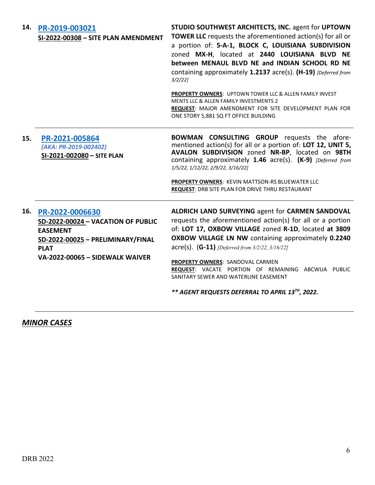| 14. | PR-2019-003021<br>SI-2022-00308 - SITE PLAN AMENDMENT                                                                        | STUDIO SOUTHWEST ARCHITECTS, INC. agent for UPTOWN<br><b>TOWER LLC</b> requests the aforementioned action(s) for all or<br>a portion of: 5-A-1, BLOCK C, LOUISIANA SUBDIVISION<br>zoned MX-H, located at 2440 LOUISIANA BLVD NE<br>between MENAUL BLVD NE and INDIAN SCHOOL RD NE<br>containing approximately 1.2137 acre(s). (H-19) [Deferred from<br>$3/2/22$ ]                       |
|-----|------------------------------------------------------------------------------------------------------------------------------|-----------------------------------------------------------------------------------------------------------------------------------------------------------------------------------------------------------------------------------------------------------------------------------------------------------------------------------------------------------------------------------------|
|     |                                                                                                                              | PROPERTY OWNERS: UPTOWN TOWER LLC & ALLEN FAMILY INVEST<br>MENTS LLC & ALLEN FAMILY INVESTMENTS 2<br>REQUEST: MAJOR AMENDMENT FOR SITE DEVELOPMENT PLAN FOR<br>ONE STORY 5,881 SQ FT OFFICE BUILDING                                                                                                                                                                                    |
| 15. | PR-2021-005864<br>(AKA: PR-2019-002402)<br>SI-2021-002080 - SITE PLAN                                                        | <b>BOWMAN CONSULTING GROUP</b> requests the afore-<br>mentioned action(s) for all or a portion of: LOT 12, UNIT 5,<br>AVALON SUBDIVISION zoned NR-BP, located on 98TH<br>containing approximately 1.46 acre(s). (K-9) [Deferred from<br>1/5/22, 1/12/22, 2/9/22, 3/16/22]<br>PROPERTY OWNERS: KEVIN MATTSON-RS BLUEWATER LLC<br><b>REQUEST: DRB SITE PLAN FOR DRIVE THRU RESTAURANT</b> |
| 16. | PR-2022-0006630<br>SD-2022-00024 - VACATION OF PUBLIC<br><b>EASEMENT</b><br>SD-2022-00025 - PRELIMINARY/FINAL<br><b>PLAT</b> | ALDRICH LAND SURVEYING agent for CARMEN SANDOVAL<br>requests the aforementioned action(s) for all or a portion<br>of: LOT 17, OXBOW VILLAGE zoned R-1D, located at 3809<br>OXBOW VILLAGE LN NW containing approximately 0.2240<br>$\textsf{acre}(s)$ . (G-11) [Deferred from 3/2/22, 3/16/22]                                                                                           |
|     | VA-2022-00065 - SIDEWALK WAIVER                                                                                              | PROPERTY OWNERS: SANDOVAL CARMEN<br>REQUEST: VACATE PORTION OF REMAINING ABCWUA PUBLIC<br>SANITARY SEWER AND WATERLINE EASEMENT<br>** AGENT REQUESTS DEFERRAL TO APRIL 13TH, 2022.                                                                                                                                                                                                      |

*MINOR CASES*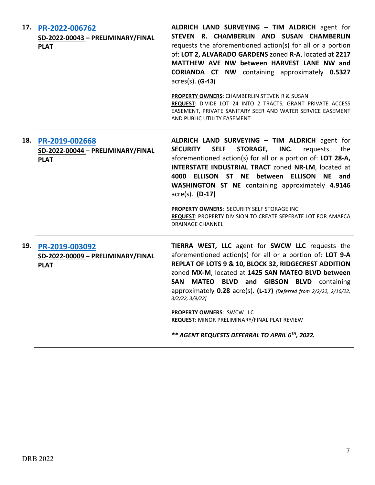| 17. | PR-2022-006762<br>SD-2022-00043 - PRELIMINARY/FINAL<br><b>PLAT</b>     | ALDRICH LAND SURVEYING - TIM ALDRICH agent for<br>STEVEN R. CHAMBERLIN AND SUSAN CHAMBERLIN<br>requests the aforementioned action(s) for all or a portion<br>of: LOT 2, ALVARADO GARDENS zoned R-A, located at 2217<br>MATTHEW AVE NW between HARVEST LANE NW and<br><b>CORIANDA CT NW</b> containing approximately 0.5327<br>$acres(s)$ . (G-13)<br><b>PROPERTY OWNERS: CHAMBERLIN STEVEN R &amp; SUSAN</b><br>REQUEST: DIVIDE LOT 24 INTO 2 TRACTS, GRANT PRIVATE ACCESS<br>EASEMENT, PRIVATE SANITARY SEER AND WATER SERVICE EASEMENT<br>AND PUBLIC UTILITY EASEMENT |
|-----|------------------------------------------------------------------------|-------------------------------------------------------------------------------------------------------------------------------------------------------------------------------------------------------------------------------------------------------------------------------------------------------------------------------------------------------------------------------------------------------------------------------------------------------------------------------------------------------------------------------------------------------------------------|
|     | 18. PR-2019-002668<br>SD-2022-00044 - PRELIMINARY/FINAL<br><b>PLAT</b> | ALDRICH LAND SURVEYING - TIM ALDRICH agent for<br><b>SELF</b><br><b>STORAGE,</b><br>INC.<br><b>SECURITY</b><br>requests<br>the<br>aforementioned action(s) for all or a portion of: LOT 28-A,<br>INTERSTATE INDUSTRIAL TRACT zoned NR-LM, located at<br>ELLISON ST NE between<br><b>ELLISON</b><br>4000<br>NE and<br>WASHINGTON ST NE containing approximately 4.9146<br>acre(s). (D-17)<br>PROPERTY OWNERS: SECURITY SELF STORAGE INC<br>REQUEST: PROPERTY DIVISION TO CREATE SEPERATE LOT FOR AMAFCA<br><b>DRAINAGE CHANNEL</b>                                       |
| 19. | PR-2019-003092<br>SD-2022-00009 - PRELIMINARY/FINAL<br><b>PLAT</b>     | TIERRA WEST, LLC agent for SWCW LLC requests the<br>aforementioned action(s) for all or a portion of: LOT 9-A<br>REPLAT OF LOTS 9 & 10, BLOCK 32, RIDGECREST ADDITION<br>zoned MX-M, located at 1425 SAN MATEO BLVD between<br>SAN MATEO BLVD and GIBSON BLVD containing<br>approximately 0.28 acre(s). (L-17) [Deferred from 2/2/22, 2/16/22,<br>3/2/22, 3/9/22<br>PROPERTY OWNERS: SWCW LLC<br><b>REQUEST: MINOR PRELIMINARY/FINAL PLAT REVIEW</b><br>** AGENT REQUESTS DEFERRAL TO APRIL 6 <sup>TH</sup> , 2022.                                                     |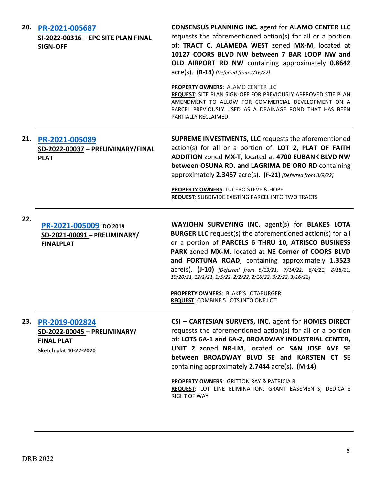| 20. | PR-2021-005687<br>SI-2022-00316 - EPC SITE PLAN FINAL<br><b>SIGN-OFF</b>                      | <b>CONSENSUS PLANNING INC. agent for ALAMO CENTER LLC</b><br>requests the aforementioned action(s) for all or a portion<br>of: TRACT C, ALAMEDA WEST zoned MX-M, located at<br>10127 COORS BLVD NW between 7 BAR LOOP NW and<br>OLD AIRPORT RD NW containing approximately 0.8642<br>$\text{acre}(s)$ . (B-14) [Deferred from 2/16/22]<br>PROPERTY OWNERS: ALAMO CENTER LLC<br>REQUEST: SITE PLAN SIGN-OFF FOR PREVIOUSLY APPROVED STIE PLAN<br>AMENDMENT TO ALLOW FOR COMMERCIAL DEVELOPMENT ON A<br>PARCEL PREVIOUSLY USED AS A DRAINAGE POND THAT HAS BEEN |
|-----|-----------------------------------------------------------------------------------------------|---------------------------------------------------------------------------------------------------------------------------------------------------------------------------------------------------------------------------------------------------------------------------------------------------------------------------------------------------------------------------------------------------------------------------------------------------------------------------------------------------------------------------------------------------------------|
|     |                                                                                               | PARTIALLY RECLAIMED.                                                                                                                                                                                                                                                                                                                                                                                                                                                                                                                                          |
| 21. | PR-2021-005089<br>SD-2022-00037 - PRELIMINARY/FINAL<br><b>PLAT</b>                            | <b>SUPREME INVESTMENTS, LLC</b> requests the aforementioned<br>action(s) for all or a portion of: LOT 2, PLAT OF FAITH<br>ADDITION zoned MX-T, located at 4700 EUBANK BLVD NW<br>between OSUNA RD. and LAGRIMA DE ORO RD containing<br>approximately 2.3467 acre(s). (F-21) [Deferred from 3/9/22]<br><b>PROPERTY OWNERS: LUCERO STEVE &amp; HOPE</b>                                                                                                                                                                                                         |
|     |                                                                                               | <b>REQUEST: SUBDIVIDE EXISTING PARCEL INTO TWO TRACTS</b>                                                                                                                                                                                                                                                                                                                                                                                                                                                                                                     |
| 22. | PR-2021-005009 IDO 2019<br>SD-2021-00091 - PRELIMINARY/<br><b>FINALPLAT</b>                   | WAYJOHN SURVEYING INC. agent(s) for BLAKES LOTA<br><b>BURGER LLC</b> request(s) the aforementioned action(s) for all<br>or a portion of PARCELS 6 THRU 10, ATRISCO BUSINESS<br>PARK zoned MX-M, located at NE Corner of COORS BLVD<br>and FORTUNA ROAD, containing approximately 1.3523<br>acre(s). (J-10) [Deferred from 5/19/21, 7/14/21, 8/4/21, 8/18/21,<br>10/20/21, 12/1/21, 1/5/22. 2/2/22, 2/16/22, 3/2/22, 3/16/22]<br><b>PROPERTY OWNERS: BLAKE'S LOTABURGER</b><br>REQUEST: COMBINE 5 LOTS INTO ONE LOT                                            |
| 23. | PR-2019-002824<br>SD-2022-00045 - PRELIMINARY/<br><b>FINAL PLAT</b><br>Sketch plat 10-27-2020 | CSI - CARTESIAN SURVEYS, INC. agent for HOMES DIRECT<br>requests the aforementioned action(s) for all or a portion<br>of: LOTS 6A-1 and 6A-2, BROADWAY INDUSTRIAL CENTER,<br>UNIT 2 zoned NR-LM, located on SAN JOSE AVE SE<br>between BROADWAY BLVD SE and KARSTEN CT SE<br>containing approximately $2.7444$ acre(s). (M-14)<br>PROPERTY OWNERS: GRITTON RAY & PATRICIA R<br>REQUEST: LOT LINE ELIMINATION, GRANT EASEMENTS, DEDICATE<br><b>RIGHT OF WAY</b>                                                                                                |